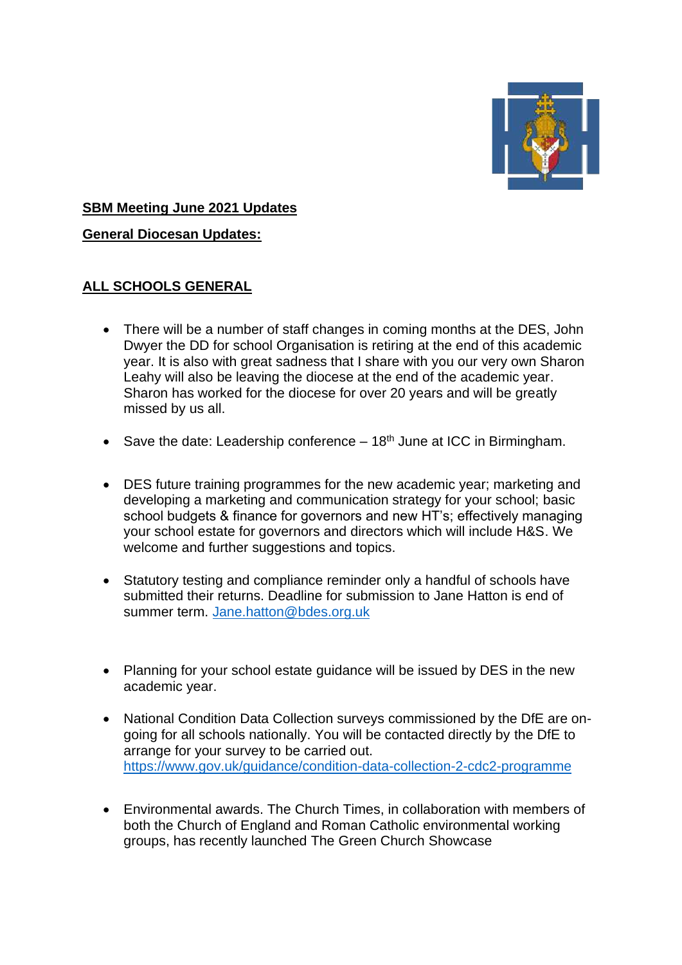

#### **SBM Meeting June 2021 Updates**

**General Diocesan Updates:**

## **ALL SCHOOLS GENERAL**

- There will be a number of staff changes in coming months at the DES, John Dwyer the DD for school Organisation is retiring at the end of this academic year. It is also with great sadness that I share with you our very own Sharon Leahy will also be leaving the diocese at the end of the academic year. Sharon has worked for the diocese for over 20 years and will be greatly missed by us all.
- Save the date: Leadership conference  $-18<sup>th</sup>$  June at ICC in Birmingham.
- DES future training programmes for the new academic year; marketing and developing a marketing and communication strategy for your school; basic school budgets & finance for governors and new HT's; effectively managing your school estate for governors and directors which will include H&S. We welcome and further suggestions and topics.
- Statutory testing and compliance reminder only a handful of schools have submitted their returns. Deadline for submission to Jane Hatton is end of summer term. [Jane.hatton@bdes.org.uk](mailto:Jane.hatton@bdes.org.uk)
- Planning for your school estate guidance will be issued by DES in the new academic year.
- National Condition Data Collection surveys commissioned by the DfE are ongoing for all schools nationally. You will be contacted directly by the DfE to arrange for your survey to be carried out. <https://www.gov.uk/guidance/condition-data-collection-2-cdc2-programme>
- Environmental awards. The Church Times, in collaboration with members of both the Church of England and Roman Catholic environmental working groups, has recently launched The Green Church Showcase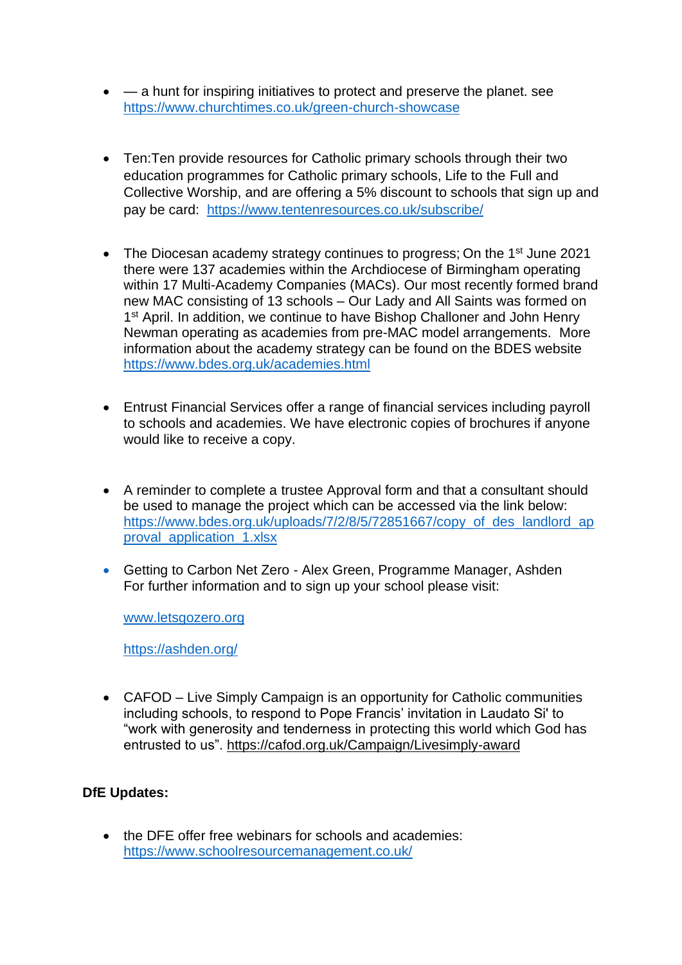- $-$  a hunt for inspiring initiatives to protect and preserve the planet. see <https://www.churchtimes.co.uk/green-church-showcase>
- Ten:Ten provide resources for Catholic primary schools through their two education programmes for Catholic primary schools, Life to the Full and Collective Worship, and are offering a 5% discount to schools that sign up and pay be card: <https://www.tentenresources.co.uk/subscribe/>
- The Diocesan academy strategy continues to progress; On the 1<sup>st</sup> June 2021 there were 137 academies within the Archdiocese of Birmingham operating within 17 Multi-Academy Companies (MACs). Our most recently formed brand new MAC consisting of 13 schools – Our Lady and All Saints was formed on 1<sup>st</sup> April. In addition, we continue to have Bishop Challoner and John Henry Newman operating as academies from pre-MAC model arrangements. More information about the academy strategy can be found on the BDES website <https://www.bdes.org.uk/academies.html>
- Entrust Financial Services offer a range of financial services including payroll to schools and academies. We have electronic copies of brochures if anyone would like to receive a copy.
- A reminder to complete a trustee Approval form and that a consultant should be used to manage the project which can be accessed via the link below: [https://www.bdes.org.uk/uploads/7/2/8/5/72851667/copy\\_of\\_des\\_landlord\\_ap](https://www.bdes.org.uk/uploads/7/2/8/5/72851667/copy_of_des_landlord_approval_application_1.xlsx) [proval\\_application\\_1.xlsx](https://www.bdes.org.uk/uploads/7/2/8/5/72851667/copy_of_des_landlord_approval_application_1.xlsx)
- Getting to Carbon Net Zero Alex Green, Programme Manager, Ashden For further information and to sign up your school please visit:

[www.letsgozero.org](http://www.letsgozero.org/)

<https://ashden.org/>

• CAFOD – Live Simply Campaign is an opportunity for Catholic communities including schools, to respond to Pope Francis' invitation in Laudato Si' to "work with generosity and tenderness in protecting this world which God has entrusted to us".<https://cafod.org.uk/Campaign/Livesimply-award>

### **DfE Updates:**

• the DFE offer free webinars for schools and academies: <https://www.schoolresourcemanagement.co.uk/>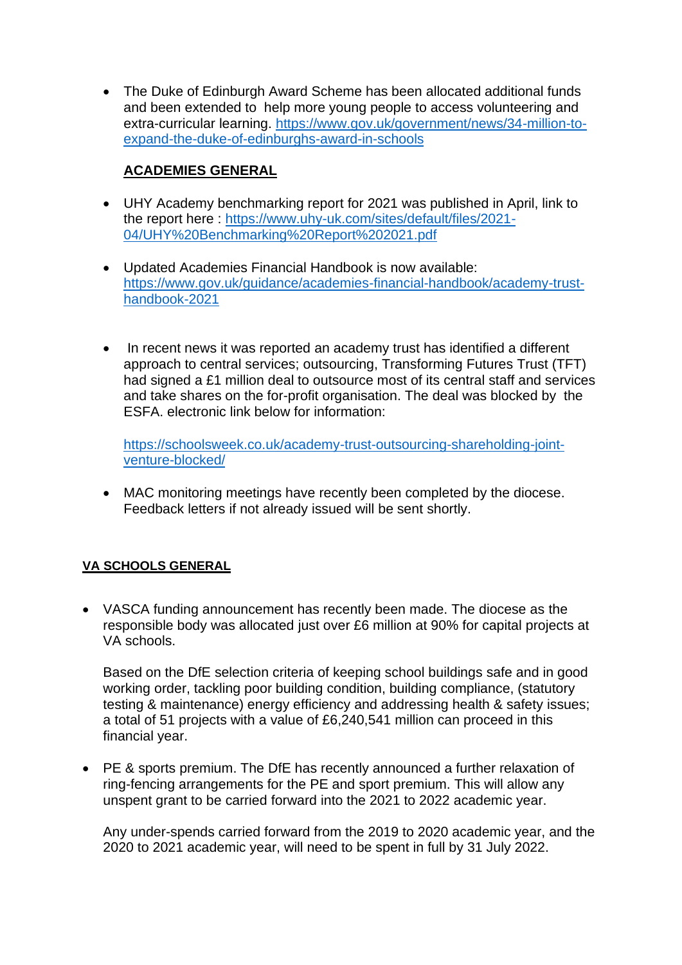• The Duke of Edinburgh Award Scheme has been allocated additional funds and been extended to help more young people to access volunteering and extra-curricular learning. [https://www.gov.uk/government/news/34-million-to](https://www.gov.uk/government/news/34-million-to-expand-the-duke-of-edinburghs-award-in-schools)[expand-the-duke-of-edinburghs-award-in-schools](https://www.gov.uk/government/news/34-million-to-expand-the-duke-of-edinburghs-award-in-schools)

# **ACADEMIES GENERAL**

- UHY Academy benchmarking report for 2021 was published in April, link to the report here : [https://www.uhy-uk.com/sites/default/files/2021-](https://www.uhy-uk.com/sites/default/files/2021-04/UHY%20Benchmarking%20Report%202021.pdf) [04/UHY%20Benchmarking%20Report%202021.pdf](https://www.uhy-uk.com/sites/default/files/2021-04/UHY%20Benchmarking%20Report%202021.pdf)
- Updated Academies Financial Handbook is now available: [https://www.gov.uk/guidance/academies-financial-handbook/academy-trust](https://www.gov.uk/guidance/academies-financial-handbook/academy-trust-handbook-2021)[handbook-2021](https://www.gov.uk/guidance/academies-financial-handbook/academy-trust-handbook-2021)
- In recent news it was reported an academy trust has identified a different approach to central services; outsourcing, Transforming Futures Trust (TFT) had signed a £1 million deal to outsource most of its central staff and services and take shares on the for-profit organisation. The deal was blocked by the ESFA. electronic link below for information:

[https://schoolsweek.co.uk/academy-trust-outsourcing-shareholding-joint](https://schoolsweek.co.uk/academy-trust-outsourcing-shareholding-joint-venture-blocked/)[venture-blocked/](https://schoolsweek.co.uk/academy-trust-outsourcing-shareholding-joint-venture-blocked/)

• MAC monitoring meetings have recently been completed by the diocese. Feedback letters if not already issued will be sent shortly.

### **VA SCHOOLS GENERAL**

• VASCA funding announcement has recently been made. The diocese as the responsible body was allocated just over £6 million at 90% for capital projects at VA schools.

Based on the DfE selection criteria of keeping school buildings safe and in good working order, tackling poor building condition, building compliance, (statutory testing & maintenance) energy efficiency and addressing health & safety issues; a total of 51 projects with a value of £6,240,541 million can proceed in this financial year.

• PE & sports premium. The DfE has recently announced a further relaxation of ring-fencing arrangements for the PE and sport premium. This will allow any unspent grant to be carried forward into the 2021 to 2022 academic year.

Any under-spends carried forward from the 2019 to 2020 academic year, and the 2020 to 2021 academic year, will need to be spent in full by 31 July 2022.